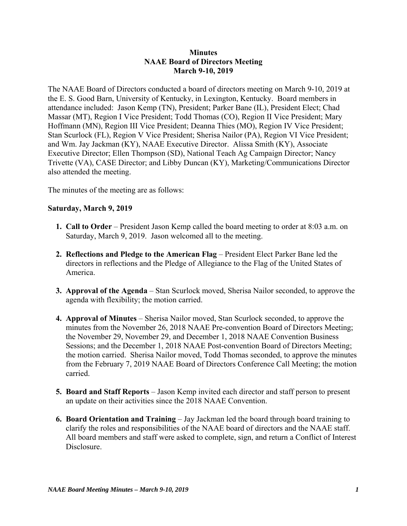### **Minutes NAAE Board of Directors Meeting March 9-10, 2019**

The NAAE Board of Directors conducted a board of directors meeting on March 9-10, 2019 at the E. S. Good Barn, University of Kentucky, in Lexington, Kentucky. Board members in attendance included: Jason Kemp (TN), President; Parker Bane (IL), President Elect; Chad Massar (MT), Region I Vice President; Todd Thomas (CO), Region II Vice President; Mary Hoffmann (MN), Region III Vice President; Deanna Thies (MO), Region IV Vice President; Stan Scurlock (FL), Region V Vice President; Sherisa Nailor (PA), Region VI Vice President; and Wm. Jay Jackman (KY), NAAE Executive Director. Alissa Smith (KY), Associate Executive Director; Ellen Thompson (SD), National Teach Ag Campaign Director; Nancy Trivette (VA), CASE Director; and Libby Duncan (KY), Marketing/Communications Director also attended the meeting.

The minutes of the meeting are as follows:

### **Saturday, March 9, 2019**

- **1. Call to Order** President Jason Kemp called the board meeting to order at 8:03 a.m. on Saturday, March 9, 2019. Jason welcomed all to the meeting.
- **2. Reflections and Pledge to the American Flag** President Elect Parker Bane led the directors in reflections and the Pledge of Allegiance to the Flag of the United States of America.
- **3. Approval of the Agenda** Stan Scurlock moved, Sherisa Nailor seconded, to approve the agenda with flexibility; the motion carried.
- **4. Approval of Minutes** Sherisa Nailor moved, Stan Scurlock seconded, to approve the minutes from the November 26, 2018 NAAE Pre-convention Board of Directors Meeting; the November 29, November 29, and December 1, 2018 NAAE Convention Business Sessions; and the December 1, 2018 NAAE Post-convention Board of Directors Meeting; the motion carried. Sherisa Nailor moved, Todd Thomas seconded, to approve the minutes from the February 7, 2019 NAAE Board of Directors Conference Call Meeting; the motion carried.
- **5. Board and Staff Reports** Jason Kemp invited each director and staff person to present an update on their activities since the 2018 NAAE Convention.
- **6. Board Orientation and Training** Jay Jackman led the board through board training to clarify the roles and responsibilities of the NAAE board of directors and the NAAE staff. All board members and staff were asked to complete, sign, and return a Conflict of Interest Disclosure.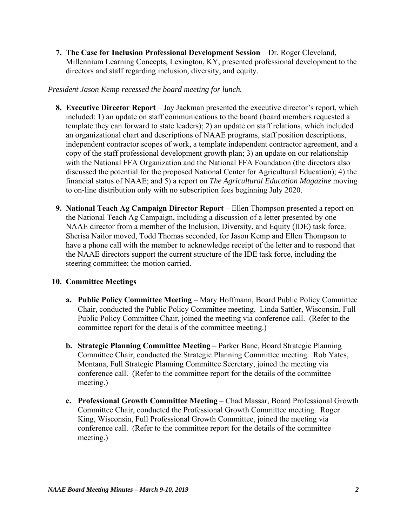**7. The Case for Inclusion Professional Development Session** – Dr. Roger Cleveland, Millennium Learning Concepts, Lexington, KY, presented professional development to the directors and staff regarding inclusion, diversity, and equity.

# *President Jason Kemp recessed the board meeting for lunch.*

- **8. Executive Director Report** Jay Jackman presented the executive director's report, which included: 1) an update on staff communications to the board (board members requested a template they can forward to state leaders); 2) an update on staff relations, which included an organizational chart and descriptions of NAAE programs, staff position descriptions, independent contractor scopes of work, a template independent contractor agreement, and a copy of the staff professional development growth plan; 3) an update on our relationship with the National FFA Organization and the National FFA Foundation (the directors also discussed the potential for the proposed National Center for Agricultural Education); 4) the financial status of NAAE; and 5) a report on *The Agricultural Education Magazine* moving to on-line distribution only with no subscription fees beginning July 2020.
- **9. National Teach Ag Campaign Director Report** Ellen Thompson presented a report on the National Teach Ag Campaign, including a discussion of a letter presented by one NAAE director from a member of the Inclusion, Diversity, and Equity (IDE) task force. Sherisa Nailor moved, Todd Thomas seconded, for Jason Kemp and Ellen Thompson to have a phone call with the member to acknowledge receipt of the letter and to respond that the NAAE directors support the current structure of the IDE task force, including the steering committee; the motion carried.

# **10. Committee Meetings**

- **a. Public Policy Committee Meeting** Mary Hoffmann, Board Public Policy Committee Chair, conducted the Public Policy Committee meeting. Linda Sattler, Wisconsin, Full Public Policy Committee Chair, joined the meeting via conference call. (Refer to the committee report for the details of the committee meeting.)
- **b. Strategic Planning Committee Meeting** Parker Bane, Board Strategic Planning Committee Chair, conducted the Strategic Planning Committee meeting. Rob Yates, Montana, Full Strategic Planning Committee Secretary, joined the meeting via conference call. (Refer to the committee report for the details of the committee meeting.)
- **c. Professional Growth Committee Meeting** Chad Massar, Board Professional Growth Committee Chair, conducted the Professional Growth Committee meeting. Roger King, Wisconsin, Full Professional Growth Committee, joined the meeting via conference call. (Refer to the committee report for the details of the committee meeting.)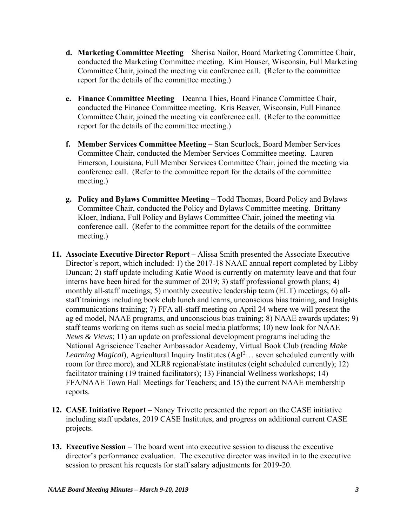- **d. Marketing Committee Meeting** Sherisa Nailor, Board Marketing Committee Chair, conducted the Marketing Committee meeting. Kim Houser, Wisconsin, Full Marketing Committee Chair, joined the meeting via conference call. (Refer to the committee report for the details of the committee meeting.)
- **e. Finance Committee Meeting**  Deanna Thies, Board Finance Committee Chair, conducted the Finance Committee meeting. Kris Beaver, Wisconsin, Full Finance Committee Chair, joined the meeting via conference call. (Refer to the committee report for the details of the committee meeting.)
- **f. Member Services Committee Meeting**  Stan Scurlock, Board Member Services Committee Chair, conducted the Member Services Committee meeting. Lauren Emerson, Louisiana, Full Member Services Committee Chair, joined the meeting via conference call. (Refer to the committee report for the details of the committee meeting.)
- **g. Policy and Bylaws Committee Meeting**  Todd Thomas, Board Policy and Bylaws Committee Chair, conducted the Policy and Bylaws Committee meeting. Brittany Kloer, Indiana, Full Policy and Bylaws Committee Chair, joined the meeting via conference call. (Refer to the committee report for the details of the committee meeting.)
- **11. Associate Executive Director Report** Alissa Smith presented the Associate Executive Director's report, which included: 1) the 2017-18 NAAE annual report completed by Libby Duncan; 2) staff update including Katie Wood is currently on maternity leave and that four interns have been hired for the summer of 2019; 3) staff professional growth plans; 4) monthly all-staff meetings; 5) monthly executive leadership team (ELT) meetings; 6) allstaff trainings including book club lunch and learns, unconscious bias training, and Insights communications training; 7) FFA all-staff meeting on April 24 where we will present the ag ed model, NAAE programs, and unconscious bias training; 8) NAAE awards updates; 9) staff teams working on items such as social media platforms; 10) new look for NAAE *News & Views*; 11) an update on professional development programs including the National Agriscience Teacher Ambassador Academy, Virtual Book Club (reading *Make*  Learning Magical), Agricultural Inquiry Institutes (AgI<sup>2</sup>... seven scheduled currently with room for three more), and XLR8 regional/state institutes (eight scheduled currently); 12) facilitator training (19 trained facilitators); 13) Financial Wellness workshops; 14) FFA/NAAE Town Hall Meetings for Teachers; and 15) the current NAAE membership reports.
- **12. CASE Initiative Report** Nancy Trivette presented the report on the CASE initiative including staff updates, 2019 CASE Institutes, and progress on additional current CASE projects.
- **13. Executive Session**  The board went into executive session to discuss the executive director's performance evaluation. The executive director was invited in to the executive session to present his requests for staff salary adjustments for 2019-20.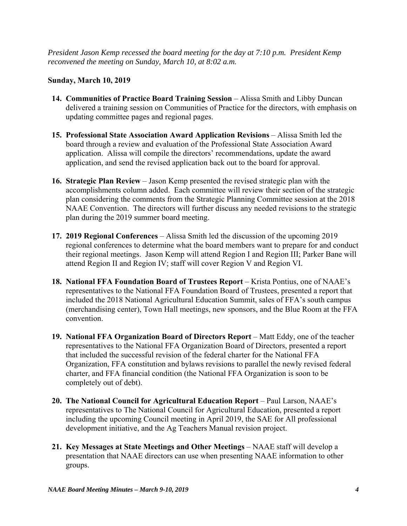*President Jason Kemp recessed the board meeting for the day at 7:10 p.m. President Kemp reconvened the meeting on Sunday, March 10, at 8:02 a.m.* 

# **Sunday, March 10, 2019**

- 14. Communities of Practice Board Training Session Alissa Smith and Libby Duncan delivered a training session on Communities of Practice for the directors, with emphasis on updating committee pages and regional pages.
- **15. Professional State Association Award Application Revisions** Alissa Smith led the board through a review and evaluation of the Professional State Association Award application. Alissa will compile the directors' recommendations, update the award application, and send the revised application back out to the board for approval.
- **16. Strategic Plan Review**  Jason Kemp presented the revised strategic plan with the accomplishments column added. Each committee will review their section of the strategic plan considering the comments from the Strategic Planning Committee session at the 2018 NAAE Convention. The directors will further discuss any needed revisions to the strategic plan during the 2019 summer board meeting.
- **17. 2019 Regional Conferences**  Alissa Smith led the discussion of the upcoming 2019 regional conferences to determine what the board members want to prepare for and conduct their regional meetings. Jason Kemp will attend Region I and Region III; Parker Bane will attend Region II and Region IV; staff will cover Region V and Region VI.
- **18. National FFA Foundation Board of Trustees Report** Krista Pontius, one of NAAE's representatives to the National FFA Foundation Board of Trustees, presented a report that included the 2018 National Agricultural Education Summit, sales of FFA's south campus (merchandising center), Town Hall meetings, new sponsors, and the Blue Room at the FFA convention.
- **19. National FFA Organization Board of Directors Report** Matt Eddy, one of the teacher representatives to the National FFA Organization Board of Directors, presented a report that included the successful revision of the federal charter for the National FFA Organization, FFA constitution and bylaws revisions to parallel the newly revised federal charter, and FFA financial condition (the National FFA Organization is soon to be completely out of debt).
- **20. The National Council for Agricultural Education Report Paul Larson, NAAE's** representatives to The National Council for Agricultural Education, presented a report including the upcoming Council meeting in April 2019, the SAE for All professional development initiative, and the Ag Teachers Manual revision project.
- **21. Key Messages at State Meetings and Other Meetings**  NAAE staff will develop a presentation that NAAE directors can use when presenting NAAE information to other groups.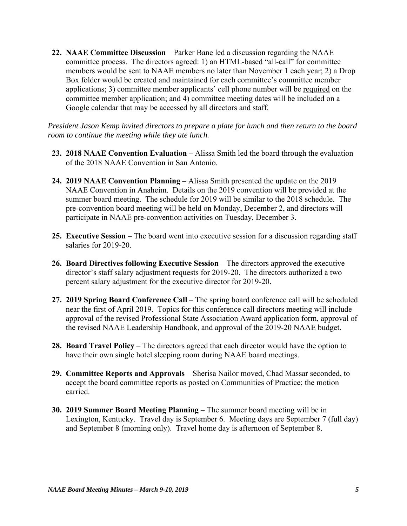**22. NAAE Committee Discussion** – Parker Bane led a discussion regarding the NAAE committee process. The directors agreed: 1) an HTML-based "all-call" for committee members would be sent to NAAE members no later than November 1 each year; 2) a Drop Box folder would be created and maintained for each committee's committee member applications; 3) committee member applicants' cell phone number will be required on the committee member application; and 4) committee meeting dates will be included on a Google calendar that may be accessed by all directors and staff.

*President Jason Kemp invited directors to prepare a plate for lunch and then return to the board room to continue the meeting while they ate lunch.* 

- **23. 2018 NAAE Convention Evaluation**  Alissa Smith led the board through the evaluation of the 2018 NAAE Convention in San Antonio.
- **24. 2019 NAAE Convention Planning**  Alissa Smith presented the update on the 2019 NAAE Convention in Anaheim. Details on the 2019 convention will be provided at the summer board meeting. The schedule for 2019 will be similar to the 2018 schedule. The pre-convention board meeting will be held on Monday, December 2, and directors will participate in NAAE pre-convention activities on Tuesday, December 3.
- **25. Executive Session**  The board went into executive session for a discussion regarding staff salaries for 2019-20.
- **26. Board Directives following Executive Session** The directors approved the executive director's staff salary adjustment requests for 2019-20. The directors authorized a two percent salary adjustment for the executive director for 2019-20.
- 27. 2019 Spring Board Conference Call The spring board conference call will be scheduled near the first of April 2019. Topics for this conference call directors meeting will include approval of the revised Professional State Association Award application form, approval of the revised NAAE Leadership Handbook, and approval of the 2019-20 NAAE budget.
- **28. Board Travel Policy** The directors agreed that each director would have the option to have their own single hotel sleeping room during NAAE board meetings.
- **29. Committee Reports and Approvals** Sherisa Nailor moved, Chad Massar seconded, to accept the board committee reports as posted on Communities of Practice; the motion carried.
- **30. 2019 Summer Board Meeting Planning**  The summer board meeting will be in Lexington, Kentucky. Travel day is September 6. Meeting days are September 7 (full day) and September 8 (morning only). Travel home day is afternoon of September 8.